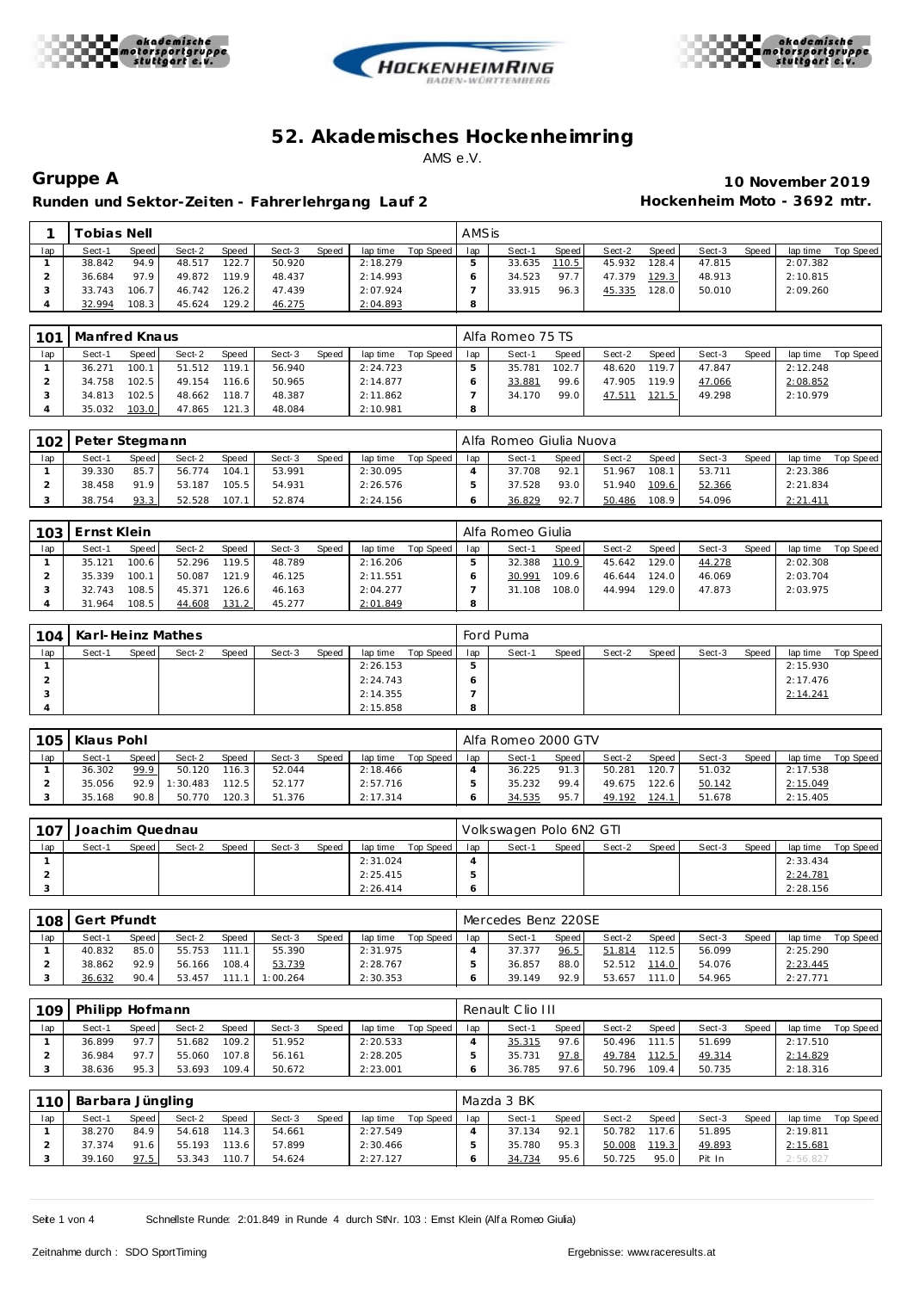





Runden und Sektor-Zeiten - Fahrer lehrgang Lauf 2 **Hockenheim Moto - 3692 mtr.** 

**Gruppe A 10 November 2019**

|     | ™obias Nell⊺ |       |        |                    |        |       |          |           | AMSis |        |       |        |       |        |              |          |           |
|-----|--------------|-------|--------|--------------------|--------|-------|----------|-----------|-------|--------|-------|--------|-------|--------|--------------|----------|-----------|
| lap | Sect-1       | Speed | Sect-2 | Speed              | Sect-3 | Speed | lap time | Top Speed | lap   | Sect-1 | Speed | Sect-2 | Speed | Sect-3 | <b>Speed</b> | lap time | Top Speed |
|     | 38.842       | 94.9  | 48.517 | 122.7              | 50.920 |       | 2:18.279 |           |       | 33.635 | 110.5 | 45.932 | 128.4 | 47.815 |              | 2:07.382 |           |
|     | 36.684       | 97.9  | 49.872 | 119.9 <sub>1</sub> | 48.437 |       | 2:14.993 |           |       | 34.523 | 97.7  | 47.379 | 129.3 | 48.913 |              | 2:10.815 |           |
|     | 33.743       | 106.7 | 46.742 | 126.2              | 47.439 |       | 2:07.924 |           |       | 33.915 | 96.3  | 45.335 | 128.0 | 50.010 |              | 2:09.260 |           |
|     | 32.994       | 108.3 | 45.624 | 129.2              | 46.275 |       | 2:04.893 |           |       |        |       |        |       |        |              |          |           |

| 101 | Manfred Knaus<br>Speed<br>Sect-2<br>Speed<br>Speed<br>Sect-3<br>lap time<br>Sect-1 |       |        |       |        |  |          |           |     | Alfa Romeo 75 TS |       |        |       |        |       |          |           |
|-----|------------------------------------------------------------------------------------|-------|--------|-------|--------|--|----------|-----------|-----|------------------|-------|--------|-------|--------|-------|----------|-----------|
| lap |                                                                                    |       |        |       |        |  |          | Top Speed | lap | Sect-1           | Speed | Sect-2 | Speed | Sect-3 | Speed | lap time | Top Speed |
|     | 36.271                                                                             | 100.1 | 51.512 | 119.1 | 56.940 |  | 2:24.723 |           |     | 35.781           | 102.7 | 48.620 | 119.7 | 47.847 |       | 2:12.248 |           |
|     | 34.758                                                                             | 102.5 | 49.154 | 116.6 | 50.965 |  | 2:14.877 |           |     | 33.881           | 99.6  | 47.905 | 119.9 | 47.066 |       | 2:08.852 |           |
|     | 34.813                                                                             | 102.5 | 48.662 | 118.7 | 48.387 |  | 2:11.862 |           |     | 34.170           | 99.0  | 47.511 | 121.5 | 49.298 |       | 2:10.979 |           |
|     | 35.032                                                                             | 103.0 | 47.865 | 121.3 | 48.084 |  | 2:10.981 |           | o   |                  |       |        |       |        |       |          |           |

| 102 | I Peter Stegmann |       |        |              |        |              |          |           |     | Alfa Romeo Giulia Nuova |              |        |       |        |       |          |           |
|-----|------------------|-------|--------|--------------|--------|--------------|----------|-----------|-----|-------------------------|--------------|--------|-------|--------|-------|----------|-----------|
| lap | Sect-1           | Speed | Sect-2 | <b>Speed</b> | Sect-3 | <b>Speed</b> | lap time | Top Speed | lap | Sect-1                  | <b>Speed</b> | Sect-2 | Speed | Sect-3 | Speed | lap time | Top Speed |
|     | 39.330           | 85.7  | 56.774 | 104.1        | 53.991 |              | 2:30.095 |           |     | 37.708                  | 92.1         | 51.967 | 108.1 | 53.711 |       | 2:23.386 |           |
|     | 38.458           | 91.9  | 53.187 | 105.5        | 54.931 |              | 2:26.576 |           |     | 37.528                  | 93.0         | 51.940 | 109.6 | 52.366 |       | 2:21.834 |           |
|     | 38.754           | 93.3  | 52.528 | 107.7        | 52.874 |              | 2:24.156 |           |     | 36.829                  | 92.7         | 50.486 | 108.9 | 54.096 |       | 2:21.411 |           |

| 103 | Ernst Klein |       |        |       |        |       |          |           |     | Alfa Romeo Giulia |       |        |       |        |       |          |           |
|-----|-------------|-------|--------|-------|--------|-------|----------|-----------|-----|-------------------|-------|--------|-------|--------|-------|----------|-----------|
| lap | Sect-1      | Speed | Sect-2 | Speed | Sect-3 | Speed | lap time | Top Speed | lap | Sect-1            | Speed | Sect-2 | Speed | Sect-3 | Speed | lap time | Top Speed |
|     | 35.121      | 100.6 | 52.296 | 119.5 | 48.789 |       | 2:16.206 |           |     | 32.388            | 110.9 | 45.642 | 129.0 | 44.278 |       | 2:02.308 |           |
|     | 35.339      | 100.1 | 50.087 | 121.9 | 46.125 |       | 2:11.551 |           |     | 30.991            | 109.6 | 46.644 | 124.0 | 46.069 |       | 2:03.704 |           |
|     | 32.743      | 108.5 | 45.371 | 126.6 | 46.163 |       | 2:04.277 |           |     | 31.108            | 108.0 | 44.994 | 129.0 | 47.873 |       | 2:03.975 |           |
|     | 31.964      | 108.5 | 44.608 | 131.2 | 45.277 |       | 2:01.849 |           | 8   |                   |       |        |       |        |       |          |           |

| 104 | Karl-Heinz Mathes |       |        |       |        |       |          |           |              | Ford Puma |       |        |       |        |       |          |           |
|-----|-------------------|-------|--------|-------|--------|-------|----------|-----------|--------------|-----------|-------|--------|-------|--------|-------|----------|-----------|
| lap | Sect-1            | Speed | Sect-2 | Speed | Sect-3 | Speed | lap time | Top Speed | lap          | Sect-1    | Speed | Sect-2 | Speed | Sect-3 | Speed | lap time | Top Speed |
|     |                   |       |        |       |        |       | 2:26.153 |           | ు            |           |       |        |       |        |       | 2:15.930 |           |
|     |                   |       |        |       |        |       | 2:24.743 |           | O            |           |       |        |       |        |       | 2:17.476 |           |
|     |                   |       |        |       |        |       | 2:14.355 |           |              |           |       |        |       |        |       | 2:14.241 |           |
|     |                   |       |        |       |        |       | 2:15.858 |           | $\circ$<br>õ |           |       |        |       |        |       |          |           |

| 105 | Klaus Pohl |       |         |           |        |       |          |           |     | Alfa Romeo 2000 GTV |       |        |       |        |       |          |           |
|-----|------------|-------|---------|-----------|--------|-------|----------|-----------|-----|---------------------|-------|--------|-------|--------|-------|----------|-----------|
| lap | Sect-1     | Speed | Sect-2  | Speed     | Sect-3 | Speed | lap time | Top Speed | lap | Sect-1              | Speed | Sect-2 | Speed | Sect-3 | Speed | lap time | Top Speed |
|     | 36.302     | 99.9  | 50.120  | 116.3     | 52.044 |       | 2:18.466 |           |     | 36.225              | 91.3  | 50.281 | 120.7 | 51.032 |       | 2:17.538 |           |
|     | 35.056     | 92.9  | :30.483 | $112.5 -$ | 52.177 |       | 2:57.716 |           |     | 35.232              | 99.4  | 49.675 | 122.6 | 50.142 |       | 2:15.049 |           |
|     | 35.168     | 90.8  | 50.770  | $120.3 -$ | 51.376 |       | 2:17.314 |           |     | 34.535              | 95.7  | 49.192 | 124.1 | 51.678 |       | 2:15.405 |           |

| 107 | Joachim Quednau |       |        |       |        |       |          |           |     | Volkswagen Polo 6N2 GTI |       |        |       |        |       |          |           |
|-----|-----------------|-------|--------|-------|--------|-------|----------|-----------|-----|-------------------------|-------|--------|-------|--------|-------|----------|-----------|
| lap | Sect-1          | Speed | Sect-2 | Speed | Sect-3 | Speed | lap time | Top Speed | lap | Sect-1                  | Speed | Sect-2 | Speed | Sect-3 | Speed | lap time | Top Speed |
|     |                 |       |        |       |        |       | 2:31.024 |           |     |                         |       |        |       |        |       | 2:33.434 |           |
|     |                 |       |        |       |        |       | 2:25.415 |           |     |                         |       |        |       |        |       | 2:24.781 |           |
|     |                 |       |        |       |        |       | 2:26.414 |           |     |                         |       |        |       |        |       | 2:28.156 |           |

| 108 | Gert Pfundt |       |        |              |          |              |          |           |     | Mercedes Benz 220SE |       |        |        |        |              |          |           |
|-----|-------------|-------|--------|--------------|----------|--------------|----------|-----------|-----|---------------------|-------|--------|--------|--------|--------------|----------|-----------|
| lap | Sect-1      | Speed | Sect-2 | <b>Speed</b> | Sect-3   | <b>Speed</b> | lap time | Top Speed | lap | Sect-1              | Speed | Sect-2 | Speed  | Sect-3 | <b>Speed</b> | lap time | Top Speed |
|     | 40.832      | 85.0  | 55.753 | 111 1        | 55.390   |              | 2:31.975 |           |     | 37.377              | 96.5  | 51.814 | 12.5   | 56.099 |              | 2:25.290 |           |
|     | 38.862      | 92.9  | 56.166 | 108.4        | 53.739   |              | 2:28.767 |           |     | 36.857              | 88.0  | 52.512 | 114.01 | 54.076 |              | 2:23.445 |           |
|     | 36.632      | 90.4  | 53.457 |              | 1:00.264 |              | 2:30.353 |           |     | 39.149              | 92.9  | 53.657 | 11.0   | 54.965 |              | 2:27.771 |           |

| 109 | Philipp Hofmann<br>Speed<br>Speed<br>Sect-2<br>Sect-3<br>Speed<br>lap time<br>Sect-1<br>109.2<br>97.7<br>2:20.533<br>51.682<br>51.952<br>36.899 |      |        |       |        |  |          |           |     | Renault Clio III |       |        |       |        |       |          |           |
|-----|-------------------------------------------------------------------------------------------------------------------------------------------------|------|--------|-------|--------|--|----------|-----------|-----|------------------|-------|--------|-------|--------|-------|----------|-----------|
| lap |                                                                                                                                                 |      |        |       |        |  |          | Top Speed | lap | Sect-1           | Speed | Sect-2 | Speed | Sect-3 | Speed | lap time | Top Speed |
|     |                                                                                                                                                 |      |        |       |        |  |          |           |     | 35.315           | 97.6  | 50.496 | 111.5 | 51.699 |       | 2:17.510 |           |
|     | 36.984                                                                                                                                          | 97.7 | 55.060 | 107.8 | 56.161 |  | 2:28.205 |           |     | 35.731           | 97.8  | 49.784 | 112.5 | 49.314 |       | 2:14.829 |           |
|     | 38.636                                                                                                                                          | 95.3 | 53.693 | 109.4 | 50.672 |  | 2:23.001 |           |     | 36.785           | 97.6  | 50.796 | 109.4 | 50.735 |       | 2:18.316 |           |

| 110 | Barbara Jüngling |       |        |              |        |              |          |           |     | Mazda 3 BK |       |        |       |        |       |          |           |
|-----|------------------|-------|--------|--------------|--------|--------------|----------|-----------|-----|------------|-------|--------|-------|--------|-------|----------|-----------|
| lap | Sect-1           | Speed | Sect-2 | <b>Speed</b> | Sect-3 | <b>Speed</b> | lap time | Top Speed | lap | Sect-1     | Speed | Sect-2 | Speed | Sect-3 | Speed | lap time | Top Speed |
|     | 38.270           | 84.9  | 54.618 | 114.3        | 54.661 |              | 2:27.549 |           |     | 37.134     | 92.1  | 50.782 | 117.6 | 51.895 |       | 2:19.811 |           |
|     | 37.374           | 91.6  | 55.193 | 113.6        | 57.899 |              | 2:30.466 |           |     | 35.780     | 95.3  | 50.008 | 119.3 | 49.893 |       | 2:15.681 |           |
|     | 39.160           | 97.5  | 53.343 | 110.7        | 54.624 |              | 2:27.127 |           |     | 34.734     | 95.6  | 50.725 | 95.0  | Pit In |       | 2:56.827 |           |

Seite 1 von 4 Schnellste Runde: 2:01.849 in Runde 4 durch StNr. 103 : Ernst Klein (Alf a Romeo Giulia)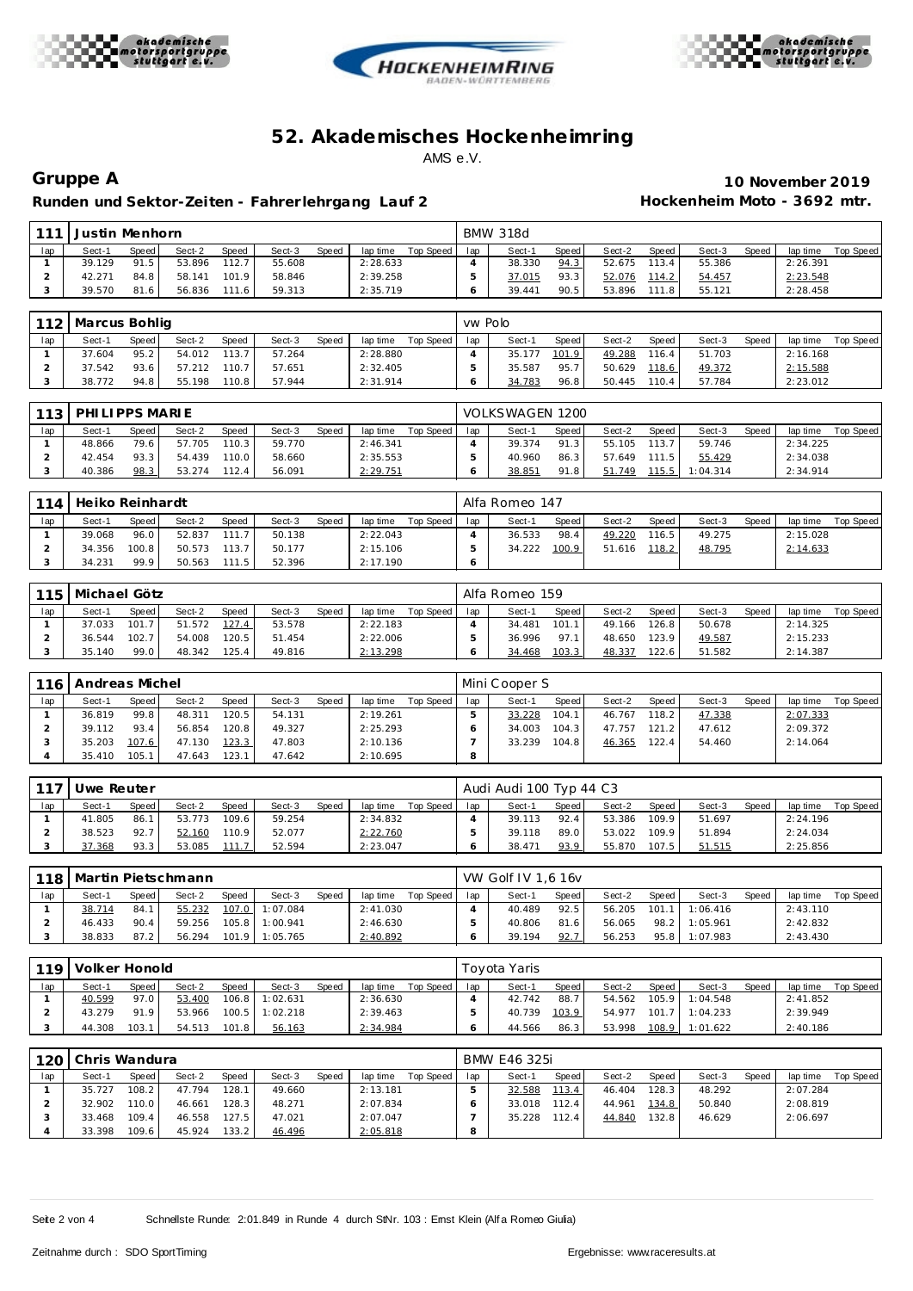





Runden und Sektor-Zeiten - Fahrer lehrgang Lauf 2 **Hockenheim Moto - 3692 mtr.** 

**Gruppe A 10 November 2019**

| 111 | Justin Menhorn |       |        |       |        |       |          |           |     | <b>BMW 318d</b> |       |        |       |        |              |          |           |
|-----|----------------|-------|--------|-------|--------|-------|----------|-----------|-----|-----------------|-------|--------|-------|--------|--------------|----------|-----------|
| lap | Sect-1         | Speed | Sect-2 | Speed | Sect-3 | Speed | lap time | Top Speed | lap | Sect-1          | Speed | Sect-2 | Speed | Sect-3 | <b>Speed</b> | lap time | Top Speed |
|     | 39.129         | 91.5  | 53.896 | 112.7 | 55.608 |       | 2:28.633 |           |     | 38.330          | 94.3  | 52.675 | 113.4 | 55.386 |              | 2:26.391 |           |
|     | 42.271         | 84.8  | 58.141 | 101.9 | 58.846 |       | 2:39.258 |           |     | 37.015          | 93.3  | 52.076 | 114.2 | 54.457 |              | 2:23.548 |           |
|     | 39.570         | 81.6  | 56.836 | 111.6 | 59.313 |       | 2:35.719 |           |     | 39.441          | 90.5  | 53.896 | 1118  | 55.121 |              | 2:28.458 |           |

|     | 112 Marcus Bohlig |       |        |       |        |       |          |             | ww Polo |        |         |        |       |        |       |          |           |
|-----|-------------------|-------|--------|-------|--------|-------|----------|-------------|---------|--------|---------|--------|-------|--------|-------|----------|-----------|
| lap | Sect-1            | Speed | Sect-2 | Speed | Sect-3 | Speed | lap time | Top Speed I | lap     | Sect-1 | Speed I | Sect-2 | Speed | Sect-3 | Speed | lap time | Top Speed |
|     | 37.604            | 95.2  | 54.012 | 113.7 | 57.264 |       | 2:28.880 |             |         | 35.177 | 101.9   | 49.288 | 116.4 | 51.703 |       | 2:16.168 |           |
|     | 37.542            | 93.6  | 57.212 | 110.7 | 57.651 |       | 2:32.405 |             |         | 35.587 | 95.7    | 50.629 | 118.6 | 49.372 |       | 2:15.588 |           |
|     | 38.772            | 94.8  | 55.198 | 110.8 | 57.944 |       | 2:31.914 |             |         | 34.783 | 96.8    | 50.445 | 110.4 | 57.784 |       | 2:23.012 |           |

| 112 | PHILIPPS MARIE |       |        |       |        |       |          |           |     | VOLKSWAGEN 1200 |       |        |         |          |       |          |           |
|-----|----------------|-------|--------|-------|--------|-------|----------|-----------|-----|-----------------|-------|--------|---------|----------|-------|----------|-----------|
| lap | Sect-1         | Speed | Sect-2 | Speed | Sect-3 | Speed | lap time | Top Speed | lap | Sect-1          | Speed | Sect-2 | Speed i | Sect-3   | Speed | lap time | Top Speed |
|     | 48.866         | 79.6  | 57.705 | 110.3 | 59.770 |       | 2:46.341 |           |     | 39.374          | 91.3  | 55.105 | 113.7   | 59.746   |       | 2:34.225 |           |
|     | 42.454         | 93.3  | 54.439 | 110.0 | 58.660 |       | 2:35.553 |           |     | 40.960          | 86.3  | 57.649 | 111.5   | 55.429   |       | 2:34.038 |           |
|     | 40.386         | 98.3  | 53.274 | 112.4 | 56.091 |       | 2:29.751 |           |     | 38.851          | 91.8  | 51.749 | 115.5   | 1:04.314 |       | 2:34.914 |           |

| 114 | Heiko Reinhardt |       |        |       |        |       |          |           |     | Alfa Romeo 147 |       |        |        |        |              |          |           |
|-----|-----------------|-------|--------|-------|--------|-------|----------|-----------|-----|----------------|-------|--------|--------|--------|--------------|----------|-----------|
| lap | Sect-1          | Speed | Sect-2 | Speed | Sect-3 | Speed | lap time | Top Speed | lap | Sect-1         | Speed | Sect-2 | Speed  | Sect-3 | <b>Speed</b> | lap time | Top Speed |
|     | 39.068          | 96.0  | 52.837 | 111.7 | 50.138 |       | 2:22.043 |           |     | 36.533         | 98.4  | 49.220 | 116.51 | 49.275 |              | 2:15.028 |           |
|     | 34.356          | 100.8 | 50.573 | 113.7 | 50.177 |       | 2:15.106 |           |     | 34.222         | 100.9 | 51.616 | 118.2  | 48.795 |              | 2:14.633 |           |
|     | 34.231          | 99.9  | 50.563 | 111.5 | 52.396 |       | 2:17.190 |           |     |                |       |        |        |        |              |          |           |

| 115 | Michael Götz |       |        |       |        |       |          |           |     | Alfa Romeo 159 |       |        |       |        |              |          |           |
|-----|--------------|-------|--------|-------|--------|-------|----------|-----------|-----|----------------|-------|--------|-------|--------|--------------|----------|-----------|
| lap | Sect-1       | Speed | Sect-2 | Speed | Sect-3 | Speed | lap time | Top Speed | lap | Sect-1         | Speed | Sect-2 | Speed | Sect-3 | <b>Speed</b> | lap time | Top Speed |
|     | 37.033       | 101.7 | 51.572 | 127.4 | 53.578 |       | 2:22.183 |           |     | 34.481         | 101.1 | 49.166 | 126.8 | 50.678 |              | 2:14.325 |           |
|     | 36.544       | 102.7 | 54.008 | 120.5 | 51.454 |       | 2:22.006 |           |     | 36.996         | 97 1  | 48.650 | 123.9 | 49.587 |              | 2:15.233 |           |
|     | 35.140       | 99.0  | 48.342 | 125.4 | 49.816 |       | 2:13.298 |           |     | 34.468         | 103.3 | 48.337 | 122.6 | 51.582 |              | 2:14.387 |           |

| 116 | Andreas Michel |       |        |              |        |       |          |           |     | Mini Cooper S |       |        |        |        |              |          |           |
|-----|----------------|-------|--------|--------------|--------|-------|----------|-----------|-----|---------------|-------|--------|--------|--------|--------------|----------|-----------|
| lap | Sect-1         | Speed | Sect-2 | <b>Speed</b> | Sect-3 | Speed | lap time | Top Speed | lap | Sect-1        | Speed | Sect-2 | Speed  | Sect-3 | <b>Speed</b> | lap time | Top Speed |
|     | 36.819         | 99.8  | 48.311 | 120.5        | 54.131 |       | 2:19.261 |           |     | 33.228        | 104.1 | 46.767 | 118.21 | 47.338 |              | 2:07.333 |           |
|     | 39.112         | 93.4  | 56.854 | 120.8        | 49.327 |       | 2:25.293 |           |     | 34.003        | 104.3 | 47.757 | 121.2  | 47.612 |              | 2:09.372 |           |
|     | 35.203         | 107.6 | 47.130 | 123.3        | 47.803 |       | 2:10.136 |           |     | 33.239        | 104.8 | 46.365 | 122.4  | 54.460 |              | 2:14.064 |           |
|     | 35.410         | 105.1 | 47.643 | 123.1        | 47.642 |       | 2:10.695 |           | o   |               |       |        |        |        |              |          |           |

| 1171 | Uwe Reuter |       |        |       |        |       |          |           |     | Audi Audi 100 Typ 44 C3 |       |        |       |        |       |          |           |
|------|------------|-------|--------|-------|--------|-------|----------|-----------|-----|-------------------------|-------|--------|-------|--------|-------|----------|-----------|
| lap  | Sect-1     | Speed | Sect-2 | Speed | Sect-3 | Speed | lap time | Top Speed | lap | Sect-1                  | Speed | Sect-2 | Speed | Sect-3 | Speed | lap time | Top Speed |
|      | 41.805     | 86.1  | 53.773 | 109.6 | 59.254 |       | 2:34.832 |           |     | 39.113                  | 92.4  | 53.386 | 109.9 | 51.697 |       | 2:24.196 |           |
|      | 38.523     | 92.7  | 52.160 | 110.9 | 52.077 |       | 2:22.760 |           |     | 39.118                  | 89.0  | 53.022 | 109.9 | 51.894 |       | 2:24.034 |           |
|      | 37.368     | 93.3  | 53.085 | 111.7 | 52.594 |       | 2:23.047 |           |     | 38.471                  | 93.9  | 55.870 | 107.5 | 51.515 |       | 2:25.856 |           |

|     | 118   Martin Pietschmann |       |        |              |          |       |          |           |     | VW Golf IV 1.6 16 V |       |        |          |          |       |          |           |
|-----|--------------------------|-------|--------|--------------|----------|-------|----------|-----------|-----|---------------------|-------|--------|----------|----------|-------|----------|-----------|
| lap | Sect-1                   | Speed | Sect-2 | <b>Speed</b> | Sect-3   | Speed | lap time | Top Speed | lap | Sect-1              | Speed | Sect-2 | Speed    | Sect-3   | Speed | lap time | Top Speed |
|     | 38.714                   | 84.1  | 55.232 | 107.0        | 1:07.084 |       | 2:41.030 |           |     | 40.489              | 92.5  | 56.205 | $-101.1$ | 1:06.416 |       | 2:43.110 |           |
|     | 46.433                   | 90.4  | 59.256 | 105.8        | 1:00.941 |       | 2:46.630 |           |     | 40.806              | 81.6  | 56.065 | 98.2     | 1:05.961 |       | 2:42.832 |           |
|     | 38.833                   | 87.2  | 56.294 | 101.9        | 1:05.765 |       | 2:40.892 |           |     | 39.194              | 92.7  | 56.253 | 95.8     | 1:07.983 |       | 2:43.430 |           |

| 119 | Volker Honold |       |        |              |          |       |          |           |     | Tovota Yaris |       |        |       |                |              |          |           |
|-----|---------------|-------|--------|--------------|----------|-------|----------|-----------|-----|--------------|-------|--------|-------|----------------|--------------|----------|-----------|
| lap | Sect-1        | Speed | Sect-2 | <b>Speed</b> | Sect-3   | Speed | lap time | Top Speed | lap | Sect-1       | Speed | Sect-2 | Speed | Sect-3         | <b>Speed</b> | lap time | Top Speed |
|     | 40.599        | 97.0  | 53.400 | 106.8        | 1:02.631 |       | 2:36.630 |           |     | 42.742       | 88.7  | 54.562 |       | 105.9 1:04.548 |              | 2:41.852 |           |
|     | 43.279        | 91.9  | 53.966 | 100.5        | 1:02.218 |       | 2:39.463 |           |     | 40.739       | 103.9 | 54.977 |       | 101.7 1:04.233 |              | 2:39.949 |           |
|     | 44.308        | 103.1 | 54.513 | 101.8        | 56.163   |       | 2:34.984 |           |     | 44.566       | 86.3  | 53.998 |       | 108.9 1:01.622 |              | 2:40.186 |           |

|     | 120 Chris Wandura |        |        |                    |        |              |          |           |     | BMW E46 325i |       |        |       |        |       |          |           |
|-----|-------------------|--------|--------|--------------------|--------|--------------|----------|-----------|-----|--------------|-------|--------|-------|--------|-------|----------|-----------|
| lap | Sect-1            | Speed  | Sect-2 | Speed              | Sect-3 | <b>Speed</b> | lap time | Top Speed | lap | Sect-1       | Speed | Sect-2 | Speed | Sect-3 | Speed | lap time | Top Speed |
|     | 35.727            | 108.2  | 47.794 | 128.1              | 49.660 |              | 2:13.181 |           |     | 32.588       | 113.4 | 46.404 | 128.3 | 48.292 |       | 2:07.284 |           |
|     | 32.902            | 110.01 | 46.661 | 128.3              | 48.271 |              | 2:07.834 |           |     | 33.018       | 112.4 | 44.961 | 134.8 | 50.840 |       | 2:08.819 |           |
|     | 33.468            | 109.4  | 46.558 | 127.5              | 47.021 |              | 2:07.047 |           |     | 35.228       | 112.4 | 44.840 | 132.8 | 46.629 |       | 2:06.697 |           |
|     | 33.398            | 109.6  | 45.924 | 133.2 <sub>1</sub> | 46.496 |              | 2:05.818 |           |     |              |       |        |       |        |       |          |           |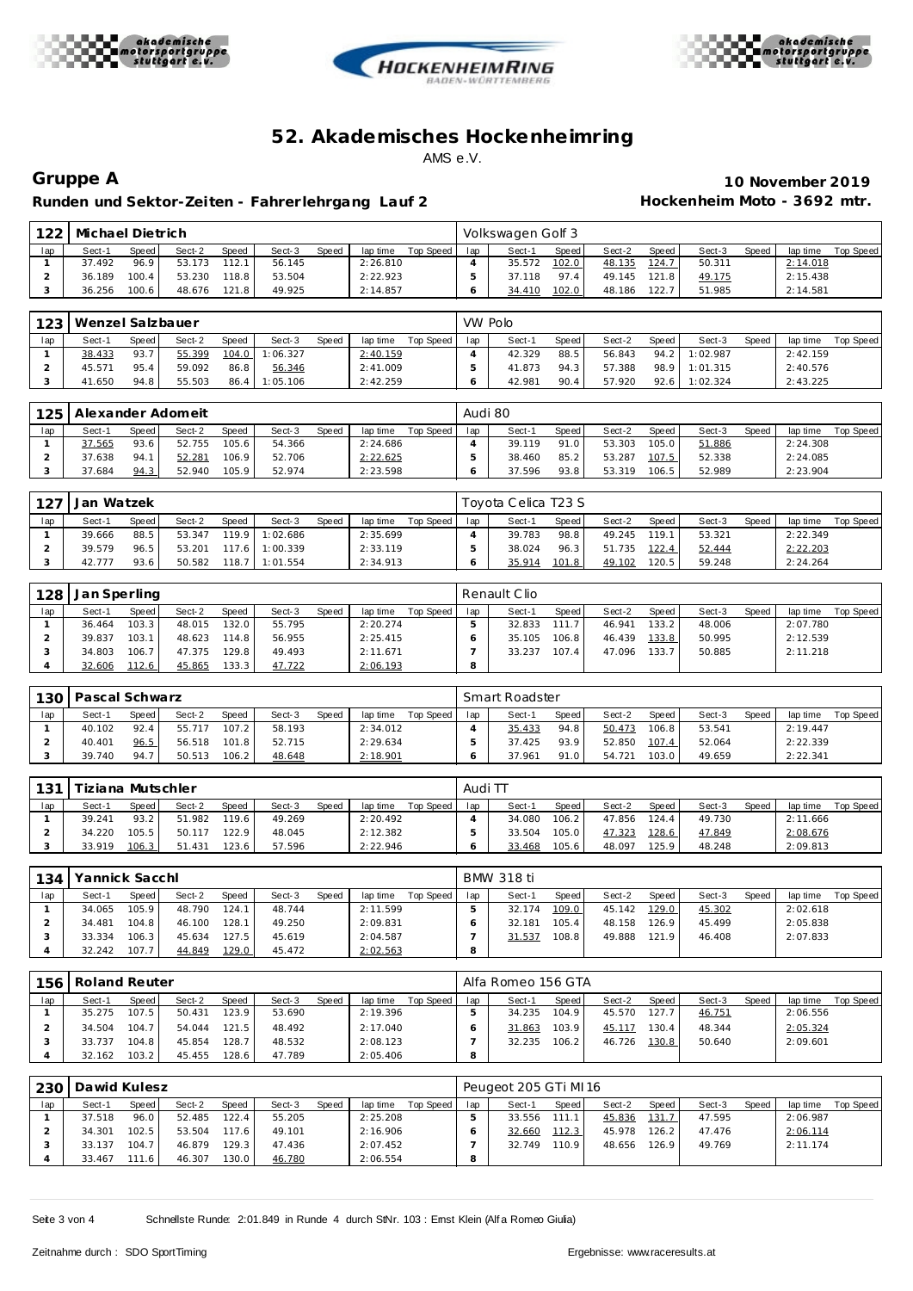





Runden und Sektor-Zeiten - Fahrer lehrgang Lauf 2 **Hockenheim Moto - 3692 mtr.** 

**Gruppe A 10 November 2019**

|     | 122   Michael Dietrich |       |        |       |        |       |          |           |     | Volkswagen Golf 3 |       |        |       |        |        |          |           |
|-----|------------------------|-------|--------|-------|--------|-------|----------|-----------|-----|-------------------|-------|--------|-------|--------|--------|----------|-----------|
| lap | Sect-1                 | Speed | Sect-2 | Speed | Sect-3 | Speed | lap time | Top Speed | lap | Sect-1            | Speed | Sect-2 | Speed | Sect-3 | Speed, | lap time | Top Speed |
|     | 37.492                 | 96.9  | 53.173 | 112.1 | 56.145 |       | 2:26.810 |           |     | 35.572            | 102.0 | 48.135 | 124.7 | 50.311 |        | 2:14.018 |           |
|     | 36.189                 | 100.4 | 53.230 | 118.8 | 53.504 |       | 2:22.923 |           |     | 37.118            | 97.4  | 49.145 | 121.8 | 49.175 |        | 2:15.438 |           |
|     | 36.256                 | 100.6 | 48.676 | 121.8 | 49.925 |       | 2:14.857 |           |     | 34.410            | 102.0 | 48.186 | 122.7 | 51.985 |        | 2:14.581 |           |

|     | 123   Wenzel Salzbauer |       |        |       |          |       |          |           | VW Polo |        |         |        |       |               |       |          |           |
|-----|------------------------|-------|--------|-------|----------|-------|----------|-----------|---------|--------|---------|--------|-------|---------------|-------|----------|-----------|
| lap | Sect-1                 | Speed | Sect-2 | Speed | Sect-3   | Speed | lap time | Top Speed | lap     | Sect-1 | Speed I | Sect-2 | Speed | Sect-3        | Speed | lap time | Top Speed |
|     | 38.433                 | 93.7  | 55.399 | 104.0 | 1:06.327 |       | 2:40.159 |           |         | 42.329 | 88.5    | 56.843 |       | 94.2 1:02.987 |       | 2:42.159 |           |
|     | 45.571                 | 95.4  | 59.092 | 86.8  | 56.346   |       | 2:41.009 |           |         | 41.873 | 94.3    | 57.388 | 98.9  | 1:01.315      |       | 2:40.576 |           |
|     | 41.650                 | 94.8  | 55.503 | 86.4  | 1:05.106 |       | 2:42.259 |           |         | 42.981 | 90.4    | 57.920 | 92.6  | 1:02.324      |       | 2:43.225 |           |

| 125 | Alexander Adomeit |       |        |              |        |       |          |           | Audi 80 |        |       |        |       |        |       |          |           |
|-----|-------------------|-------|--------|--------------|--------|-------|----------|-----------|---------|--------|-------|--------|-------|--------|-------|----------|-----------|
| lap | Sect-1            | Speed | Sect-2 | <b>Speed</b> | Sect-3 | Speed | lap time | Top Speed | lap     | Sect-1 | Speed | Sect-2 | Speed | Sect-3 | Speed | lap time | Top Speed |
|     | 37.565            | 93.6  | 52.755 | 105.6        | 54.366 |       | 2:24.686 |           |         | 39.119 | 91.0  | 53.303 | 105.0 | 51.886 |       | 2:24.308 |           |
|     | 37.638            | 94.1  | 52.281 | 106.9        | 52.706 |       | 2:22.625 |           |         | 38.460 | 85.2  | 53.287 | 107.5 | 52.338 |       | 2:24.085 |           |
|     | 37.684            | 94.3  | 52.940 | 105.9        | 52.974 |       | 2:23.598 |           |         | 37.596 | 93.8  | 53.319 | 106.5 | 52.989 |       | 2:23.904 |           |

| 127 | Jan Watzek |              |        |              |          |       |          |           |     | Tovota Celica T23 S |       |        |       |        |              |          |           |
|-----|------------|--------------|--------|--------------|----------|-------|----------|-----------|-----|---------------------|-------|--------|-------|--------|--------------|----------|-----------|
| lap | Sect-1     | <b>Speed</b> | Sect-2 | <b>Speed</b> | Sect-3   | Speed | lap time | Top Speed | lap | Sect-1              | Speed | Sect-2 | Speed | Sect-3 | <b>Speed</b> | lap time | Top Speed |
|     | 39.666     | 88.5         | 53.347 | 119.9        | 1:02.686 |       | 2:35.699 |           |     | 39.783              | 98.8  | 49.245 | 119.1 | 53.321 |              | 2:22.349 |           |
|     | 39.579     | 96.5         | 53.201 | 117.6        | 1:00.339 |       | 2:33.119 |           |     | 38.024              | 96.3  | 51.735 | 122.4 | 52.444 |              | 2:22.203 |           |
|     | 42.777     | 93.6         | 50.582 | 118.7        | 1:01.554 |       | 2:34.913 |           |     | 35.914              | 101.8 | 49.102 | 120.5 | 59.248 |              | 2:24.264 |           |

| 128 | Jan Sperling |       |        |              |        |       |          |           |     | Renault Clio |       |        |         |        |              |          |           |
|-----|--------------|-------|--------|--------------|--------|-------|----------|-----------|-----|--------------|-------|--------|---------|--------|--------------|----------|-----------|
| lap | Sect-1       | Speed | Sect-2 | <b>Speed</b> | Sect-3 | Speed | lap time | Top Speed | lap | Sect-1       | Speed | Sect-2 | Speed I | Sect-3 | <b>Speed</b> | lap time | Top Speed |
|     | 36.464       | 103.3 | 48.015 | '32.0        | 55.795 |       | 2:20.274 |           |     | 32.833       |       | 46.941 | 133.2   | 48.006 |              | 2:07.780 |           |
|     | 39.837       | 103.1 | 48.623 | 114.8        | 56.955 |       | 2:25.415 |           |     | 35.105       | 106.8 | 46.439 | 133.8   | 50.995 |              | 2:12.539 |           |
|     | 34.803       | 106.7 | 47.375 | 129.8        | 49.493 |       | 2:11.671 |           |     | 33.237       | 107.4 | 47.096 | 133.7   | 50.885 |              | 2:11.218 |           |
|     | 32.606       | 112.6 | 45.865 | 33.3         | 47.722 |       | 2:06.193 |           |     |              |       |        |         |        |              |          |           |

| 130 | Pascal Schwarz<br>Speed<br><b>Speed</b><br>Sect-2<br>Sect-3<br>lap time<br>Speed<br>Sect-1 |      |        |       |        |  |          |           |     | Smart Roadster |       |        |       |        |       |          |           |
|-----|--------------------------------------------------------------------------------------------|------|--------|-------|--------|--|----------|-----------|-----|----------------|-------|--------|-------|--------|-------|----------|-----------|
| lap |                                                                                            |      |        |       |        |  |          | Top Speed | lap | Sect-1         | Speed | Sect-2 | Speed | Sect-3 | Speed | lap time | Top Speed |
|     | 40.102                                                                                     | 92.4 | 55.717 | 107.2 | 58.193 |  | 2:34.012 |           |     | 35.433         | 94.8  | 50.473 | 106.8 | 53.541 |       | 2:19.447 |           |
|     | 40.401                                                                                     | 96.5 | 56.518 | 101.8 | 52.715 |  | 2:29.634 |           |     | 37.425         | 93.9  | 52.850 | 107.4 | 52.064 |       | 2:22.339 |           |
| - 1 | 39.740                                                                                     | 94.7 | 50.513 | 106.2 | 48.648 |  | 2:18.901 |           |     | 37.961         | 91.0  | 54.721 | 103.0 | 49.659 |       | 2:22.341 |           |

| 131 | Tiziana Mutschler |       |        |        |        |       |          |           | Audi TT |        |       |        |       |        |              |          |           |  |
|-----|-------------------|-------|--------|--------|--------|-------|----------|-----------|---------|--------|-------|--------|-------|--------|--------------|----------|-----------|--|
| lap | Sect-1            | Speed | Sect-2 | Speed  | Sect-3 | Speed | lap time | Top Speed | lap     | Sect-1 | Speed | Sect-2 | Speed | Sect-3 | <b>Speed</b> | lap time | Top Speed |  |
|     | 39.241            | 93.2  | 51.982 | 119.6  | 49.269 |       | 2:20.492 |           |         | 34.080 | 106.2 | 47.856 | 124.4 | 49.730 |              | 2:11.666 |           |  |
|     | 34.220            | 105.5 | 50.117 | 122.9  | 48.045 |       | 2:12.382 |           |         | 33.504 | 105.0 | 47.323 | 128.6 | 47.849 |              | 2:08.676 |           |  |
|     | 33.919            | 106.3 | 51.431 | 123.61 | 57.596 |       | 2:22.946 |           |         | 33.468 | 105.6 | 48.097 | 125.9 | 48.248 |              | 2:09.813 |           |  |

| 134 | Yannick Sacchl |         |        |       |        |       |          |           |     | BMW 318 ti |       |        |       |        |       |          |           |  |  |  |
|-----|----------------|---------|--------|-------|--------|-------|----------|-----------|-----|------------|-------|--------|-------|--------|-------|----------|-----------|--|--|--|
| lap | Sect-1         | Speed I | Sect-2 | Speed | Sect-3 | Speed | lap time | Top Speed | lap | Sect-1     | Speed | Sect-2 | Speed | Sect-3 | Speed | lap time | Top Speed |  |  |  |
|     | 34.065         | 105.9   | 48.790 | 124.1 | 48.744 |       | 2:11.599 |           |     | 32.174     | 109.0 | 45.142 | 129.0 | 45.302 |       | 2:02.618 |           |  |  |  |
|     | 34.481         | 104.8   | 46.100 | 128.1 | 49.250 |       | 2:09.831 |           |     | 32.181     | 105.4 | 48.158 | 126.9 | 45.499 |       | 2:05.838 |           |  |  |  |
|     | 33.334         | 106.3   | 45.634 | 127.5 | 45.619 |       | 2:04.587 |           |     | 31.537     | 108.8 | 49.888 | 121.9 | 46.408 |       | 2:07.833 |           |  |  |  |
|     | 32.242         | 107.7   | 44.849 | 129.0 | 45.472 |       | 2:02.563 |           | 8   |            |       |        |       |        |       |          |           |  |  |  |

| $156 -$ | Roland Reuter |       |        |              |        |       |          |           |     | Alfa Romeo 156 GTA |       |        |       |        |       |          |           |
|---------|---------------|-------|--------|--------------|--------|-------|----------|-----------|-----|--------------------|-------|--------|-------|--------|-------|----------|-----------|
| lap     | Sect-1        | Speed | Sect-2 | <b>Speed</b> | Sect-3 | Speed | lap time | Top Speed | lap | Sect-1             | Speed | Sect-2 | Speed | Sect-3 | Speed | lap time | Top Speed |
|         | 35.275        | 107.5 | 50.431 | 123.9        | 53.690 |       | 2:19.396 |           |     | 34.235             | 104.9 | 45.570 | 127.7 | 46.751 |       | 2:06.556 |           |
|         | 34.504        | 104.7 | 54.044 | 121.5        | 48.492 |       | 2:17.040 |           |     | 31.863             | 103.9 | 45.117 | 130.4 | 48.344 |       | 2:05.324 |           |
|         | 33.737        | 104.8 | 45.854 | 128.7        | 48.532 |       | 2:08.123 |           |     | 32.235             | 106.2 | 46.726 | 130.8 | 50.640 |       | 2:09.601 |           |
|         | 32.162        | 103.2 | 45.455 | 128.6        | 47.789 |       | 2:05.406 |           | 8   |                    |       |        |       |        |       |          |           |

| 230 | Dawid Kulesz |         |        |                    |        |       | Peugeot 205 GTi MI16 |           |     |        |                    |        |       |        |       |          |           |
|-----|--------------|---------|--------|--------------------|--------|-------|----------------------|-----------|-----|--------|--------------------|--------|-------|--------|-------|----------|-----------|
| lap | Sect-1       | Speed   | Sect-2 | Speed              | Sect-3 | Speed | lap time             | Top Speed | lap | Sect-1 | Speed              | Sect-2 | Speed | Sect-3 | Speed | lap time | Top Speed |
|     | 37.518       | 96.0    | 52.485 | 122.4              | 55.205 |       | 2:25.208             |           |     | 33.556 |                    | 45.836 | 131.7 | 47.595 |       | 2:06.987 |           |
|     | 34.301       | 102.5   | 53.504 | 117.6 <sub>1</sub> | 49.101 |       | 2:16.906             |           |     | 32.660 | 112.3              | 45.978 | 126.2 | 47.476 |       | 2:06.114 |           |
|     | 33.137       | 104.7   | 46.879 | 129.3              | 47.436 |       | 2:07.452             |           |     | 32.749 | 110.9 <sub>1</sub> | 48.656 | 126.9 | 49.769 |       | 2:11.174 |           |
|     | 33.467       | 111.6 L | 46.307 | 130.0              | 46.780 |       | 2:06.554             |           |     |        |                    |        |       |        |       |          |           |